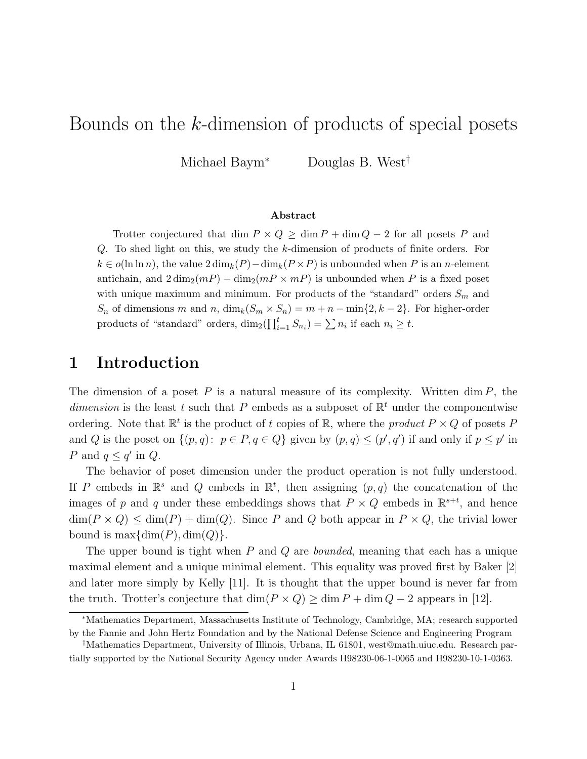# Bounds on the k-dimension of products of special posets

Michael Baym<sup>∗</sup> Douglas B. West†

### Abstract

Trotter conjectured that dim  $P \times Q \ge \dim P + \dim Q - 2$  for all posets P and Q. To shed light on this, we study the k-dimension of products of finite orders. For  $k \in o(\ln \ln n)$ , the value  $2 \dim_k(P) - \dim_k(P \times P)$  is unbounded when P is an n-element antichain, and  $2 \dim_2(mP) - \dim_2(mP \times mP)$  is unbounded when P is a fixed poset with unique maximum and minimum. For products of the "standard" orders  $S_m$  and  $S_n$  of dimensions m and n,  $\dim_k(S_m \times S_n) = m + n - \min\{2, k-2\}$ . For higher-order products of "standard" orders,  $\dim_2(\prod_{i=1}^t S_{n_i}) = \sum n_i$  if each  $n_i \geq t$ .

## 1 Introduction

The dimension of a poset  $P$  is a natural measure of its complexity. Written dim  $P$ , the dimension is the least t such that P embeds as a subposet of  $\mathbb{R}^t$  under the componentwise ordering. Note that  $\mathbb{R}^t$  is the product of t copies of  $\mathbb{R}$ , where the *product*  $P \times Q$  of posets P and Q is the poset on  $\{(p,q): p \in P, q \in Q\}$  given by  $(p,q) \leq (p',q')$  if and only if  $p \leq p'$  in P and  $q \leq q'$  in Q.

The behavior of poset dimension under the product operation is not fully understood. If P embeds in  $\mathbb{R}^s$  and Q embeds in  $\mathbb{R}^t$ , then assigning  $(p, q)$  the concatenation of the images of p and q under these embeddings shows that  $P \times Q$  embeds in  $\mathbb{R}^{s+t}$ , and hence  $\dim(P \times Q) \leq \dim(P) + \dim(Q)$ . Since P and Q both appear in  $P \times Q$ , the trivial lower bound is  $\max{\dim(P), \dim(Q)}$ .

The upper bound is tight when P and Q are *bounded*, meaning that each has a unique maximal element and a unique minimal element. This equality was proved first by Baker [2] and later more simply by Kelly [11]. It is thought that the upper bound is never far from the truth. Trotter's conjecture that  $\dim(P \times Q) \ge \dim P + \dim Q - 2$  appears in [12].

<sup>∗</sup>Mathematics Department, Massachusetts Institute of Technology, Cambridge, MA; research supported by the Fannie and John Hertz Foundation and by the National Defense Science and Engineering Program

<sup>†</sup>Mathematics Department, University of Illinois, Urbana, IL 61801, west@math.uiuc.edu. Research partially supported by the National Security Agency under Awards H98230-06-1-0065 and H98230-10-1-0363.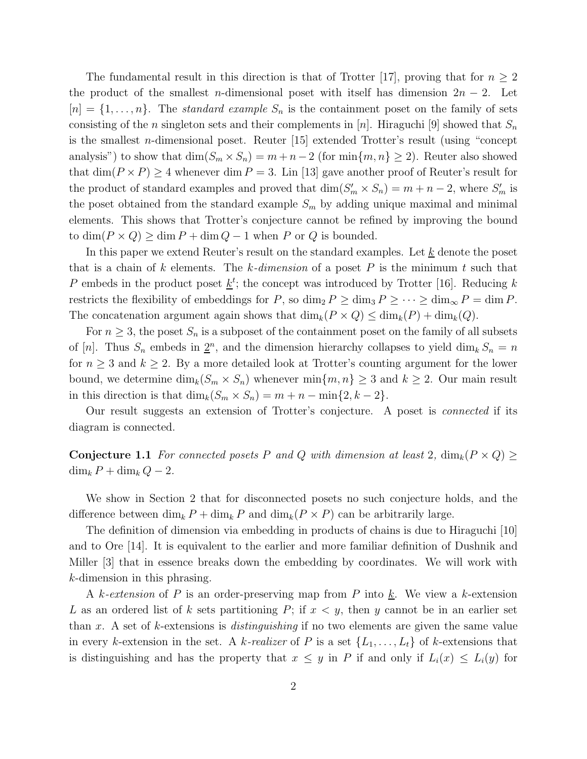The fundamental result in this direction is that of Trotter [17], proving that for  $n \geq 2$ the product of the smallest *n*-dimensional poset with itself has dimension  $2n - 2$ . Let  $[n] = \{1, \ldots, n\}$ . The *standard example*  $S_n$  is the containment poset on the family of sets consisting of the *n* singleton sets and their complements in [*n*]. Hiraguchi [9] showed that  $S_n$ is the smallest n-dimensional poset. Reuter [15] extended Trotter's result (using "concept analysis") to show that  $\dim(S_m \times S_n) = m + n - 2$  (for  $\min\{m, n\} \ge 2$ ). Reuter also showed that  $\dim(P \times P) \geq 4$  whenever  $\dim P = 3$ . Lin [13] gave another proof of Reuter's result for the product of standard examples and proved that  $\dim(S'_m \times S_n) = m + n - 2$ , where  $S'_m$  is the poset obtained from the standard example  $S_m$  by adding unique maximal and minimal elements. This shows that Trotter's conjecture cannot be refined by improving the bound to  $\dim(P \times Q) \ge \dim P + \dim Q - 1$  when P or Q is bounded.

In this paper we extend Reuter's result on the standard examples. Let  $\underline{k}$  denote the poset that is a chain of k elements. The k*-dimension* of a poset P is the minimum t such that P embeds in the product poset  $\underline{k}^t$ ; the concept was introduced by Trotter [16]. Reducing k restricts the flexibility of embeddings for P, so  $\dim_2 P \ge \dim_3 P \ge \cdots \ge \dim_{\infty} P = \dim P$ . The concatenation argument again shows that  $\dim_k(P \times Q) \leq \dim_k(P) + \dim_k(Q)$ .

For  $n \geq 3$ , the poset  $S_n$  is a subposet of the containment poset on the family of all subsets of [n]. Thus  $S_n$  embeds in  $2^n$ , and the dimension hierarchy collapses to yield dim<sub>k</sub>  $S_n = n$ for  $n \geq 3$  and  $k \geq 2$ . By a more detailed look at Trotter's counting argument for the lower bound, we determine  $\dim_k(S_m \times S_n)$  whenever  $\min\{m, n\} \geq 3$  and  $k \geq 2$ . Our main result in this direction is that  $\dim_k(S_m \times S_n) = m + n - \min\{2, k-2\}.$ 

Our result suggests an extension of Trotter's conjecture. A poset is *connected* if its diagram is connected.

Conjecture 1.1 *For connected posets* P and Q with dimension at least 2,  $\dim_k(P \times Q) \ge$  $\dim_k P + \dim_k Q - 2.$ 

We show in Section 2 that for disconnected posets no such conjecture holds, and the difference between  $\dim_k P + \dim_k P$  and  $\dim_k (P \times P)$  can be arbitrarily large.

The definition of dimension via embedding in products of chains is due to Hiraguchi [10] and to Ore [14]. It is equivalent to the earlier and more familiar definition of Dushnik and Miller [3] that in essence breaks down the embedding by coordinates. We will work with k-dimension in this phrasing.

A k-extension of P is an order-preserving map from P into  $\underline{k}$ . We view a k-extension L as an ordered list of k sets partitioning P; if  $x < y$ , then y cannot be in an earlier set than x. A set of k-extensions is *distinguishing* if no two elements are given the same value in every k-extension in the set. A k-realizer of P is a set  $\{L_1, \ldots, L_t\}$  of k-extensions that is distinguishing and has the property that  $x \leq y$  in P if and only if  $L_i(x) \leq L_i(y)$  for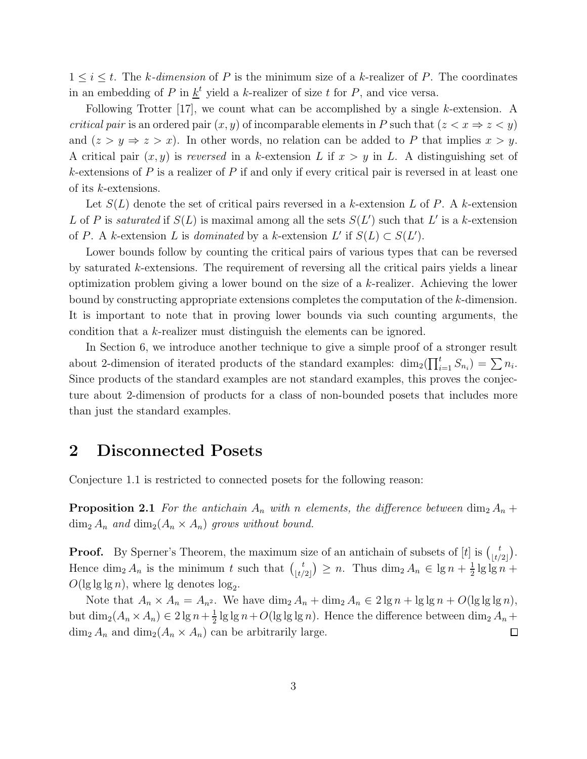$1 \leq i \leq t$ . The *k*-dimension of P is the minimum size of a *k*-realizer of P. The coordinates in an embedding of P in  $\underline{k}^t$  yield a k-realizer of size t for P, and vice versa.

Following Trotter [17], we count what can be accomplished by a single k-extension. A *critical pair* is an ordered pair  $(x, y)$  of incomparable elements in P such that  $(z < x \Rightarrow z < y)$ and  $(z > y \Rightarrow z > x)$ . In other words, no relation can be added to P that implies  $x > y$ . A critical pair  $(x, y)$  is *reversed* in a k-extension L if  $x > y$  in L. A distinguishing set of k-extensions of  $P$  is a realizer of  $P$  if and only if every critical pair is reversed in at least one of its k-extensions.

Let  $S(L)$  denote the set of critical pairs reversed in a k-extension L of P. A k-extension L of P is *saturated* if  $S(L)$  is maximal among all the sets  $S(L')$  such that L' is a k-extension of P. A k-extension L is *dominated* by a k-extension  $L'$  if  $S(L) \subset S(L')$ .

Lower bounds follow by counting the critical pairs of various types that can be reversed by saturated k-extensions. The requirement of reversing all the critical pairs yields a linear optimization problem giving a lower bound on the size of a k-realizer. Achieving the lower bound by constructing appropriate extensions completes the computation of the k-dimension. It is important to note that in proving lower bounds via such counting arguments, the condition that a k-realizer must distinguish the elements can be ignored.

In Section 6, we introduce another technique to give a simple proof of a stronger result about 2-dimension of iterated products of the standard examples:  $\dim_2(\prod_{i=1}^t S_{n_i}) = \sum n_i$ . Since products of the standard examples are not standard examples, this proves the conjecture about 2-dimension of products for a class of non-bounded posets that includes more than just the standard examples.

# 2 Disconnected Posets

Conjecture 1.1 is restricted to connected posets for the following reason:

**Proposition 2.1** *For the antichain*  $A_n$  *with n elements, the difference between* dim<sub>2</sub>  $A_n$  +  $\dim_2 A_n$  *and*  $\dim_2 (A_n \times A_n)$  *grows without bound.* 

**Proof.** By Sperner's Theorem, the maximum size of an antichain of subsets of [t] is  $\begin{bmatrix} t \\ t \end{bmatrix}$  $\begin{bmatrix} t \\ t/2 \end{bmatrix}$ . Hence  $\dim_2 A_n$  is the minimum t such that  $\binom{t}{t}$  $\binom{t}{\lfloor t/2 \rfloor} \geq n$ . Thus  $\dim_2 A_n \in \lg n + \frac{1}{2}$  $\frac{1}{2}$  lg lg n +  $O(\lg \lg \lg n)$ , where  $\lg$  denotes  $\log_2$ .

Note that  $A_n \times A_n = A_{n^2}$ . We have  $\dim_2 A_n + \dim_2 A_n \in 2 \lg n + \lg \lg n + O(\lg \lg \lg n)$ , but  $\dim_2(A_n \times A_n) \in 2 \lg n + \frac{1}{2}$  $\frac{1}{2}$  lg lg  $n+O(\lg\lg\lg n)$ . Hence the difference between  $\dim_2 A_n +$  $\dim_2 A_n$  and  $\dim_2 (A_n \times A_n)$  can be arbitrarily large.  $\Box$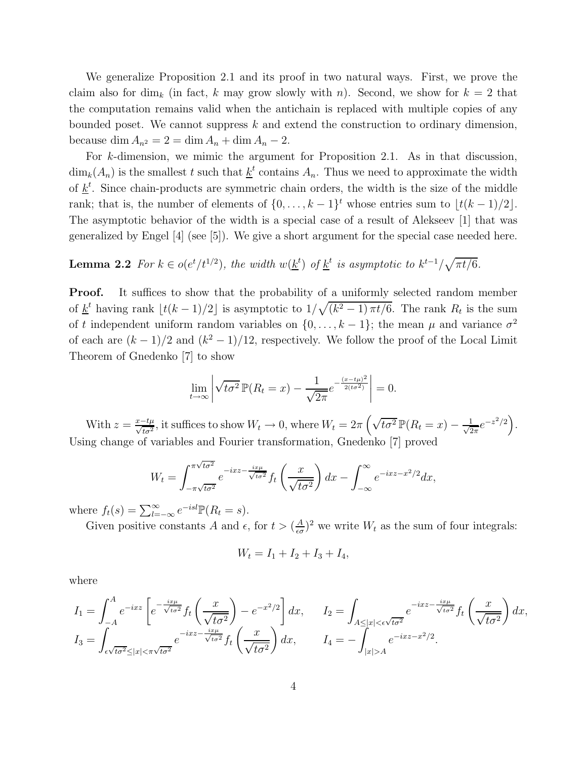We generalize Proposition 2.1 and its proof in two natural ways. First, we prove the claim also for dim<sub>k</sub> (in fact, k may grow slowly with n). Second, we show for  $k = 2$  that the computation remains valid when the antichain is replaced with multiple copies of any bounded poset. We cannot suppress  $k$  and extend the construction to ordinary dimension, because dim  $A_{n^2} = 2 = \dim A_n + \dim A_n - 2$ .

For k-dimension, we mimic the argument for Proposition 2.1. As in that discussion,  $\dim_k(A_n)$  is the smallest t such that  $\underline{k}^t$  contains  $A_n$ . Thus we need to approximate the width of  $\underline{k}^t$ . Since chain-products are symmetric chain orders, the width is the size of the middle rank; that is, the number of elements of  $\{0, \ldots, k-1\}^t$  whose entries sum to  $\lfloor t(k-1)/2 \rfloor$ . The asymptotic behavior of the width is a special case of a result of Alekseev [1] that was generalized by Engel [4] (see [5]). We give a short argument for the special case needed here.

**Lemma 2.2** *For*  $k \in o(e^t/t^{1/2})$ *, the width*  $w(\underline{k}^t)$  *of*  $\underline{k}^t$  *is asymptotic to*  $k^{t-1}/\sqrt{\pi t/6}$ *.* 

**Proof.** It suffices to show that the probability of a uniformly selected random member of  $\underline{k}^t$  having rank  $\lfloor t(k-1)/2 \rfloor$  is asymptotic to  $1/\sqrt{(k^2-1)\pi t/6}$ . The rank  $R_t$  is the sum of t independent uniform random variables on  $\{0, \ldots, k-1\}$ ; the mean  $\mu$  and variance  $\sigma^2$ of each are  $(k-1)/2$  and  $(k^2-1)/12$ , respectively. We follow the proof of the Local Limit Theorem of Gnedenko [7] to show

$$
\lim_{t \to \infty} \left| \sqrt{t \sigma^2} \, \mathbb{P}(R_t = x) - \frac{1}{\sqrt{2\pi}} e^{-\frac{(x - t\mu)^2}{2(t \sigma^2)}} \right| = 0.
$$

With  $z = \frac{x-t\mu}{\sqrt{t\sigma^2}}$ , it suffices to show  $W_t \to 0$ , where  $W_t = 2\pi \left(\sqrt{t\sigma^2} \mathbb{P}(R_t = x) - \frac{1}{\sqrt{2}}\right)$  $\frac{1}{2\pi}e^{-z^2/2}\Big).$ Using change of variables and Fourier transformation, Gnedenko [7] proved

$$
W_t = \int_{-\pi\sqrt{t\sigma^2}}^{\pi\sqrt{t\sigma^2}} e^{-ixz - \frac{ix\mu}{\sqrt{t\sigma^2}}} f_t\left(\frac{x}{\sqrt{t\sigma^2}}\right) dx - \int_{-\infty}^{\infty} e^{-ixz - x^2/2} dx,
$$

where  $f_t(s) = \sum_{l=-\infty}^{\infty} e^{-isl} \mathbb{P}(R_t = s)$ .

Given positive constants A and  $\epsilon$ , for  $t > (\frac{A}{\epsilon \sigma})$  $\frac{A}{\epsilon \sigma}$ )<sup>2</sup> we write  $W_t$  as the sum of four integrals:

$$
W_t = I_1 + I_2 + I_3 + I_4,
$$

where

$$
I_1 = \int_{-A}^{A} e^{-ixz} \left[ e^{-\frac{ix\mu}{\sqrt{t\sigma^2}}} f_t\left(\frac{x}{\sqrt{t\sigma^2}}\right) - e^{-x^2/2} \right] dx, \qquad I_2 = \int_{A \le |x| < \epsilon \sqrt{t\sigma^2}} e^{-ixz - \frac{ix\mu}{\sqrt{t\sigma^2}}} f_t\left(\frac{x}{\sqrt{t\sigma^2}}\right) dx,
$$
  
\n
$$
I_3 = \int_{\epsilon \sqrt{t\sigma^2} \le |x| < \pi \sqrt{t\sigma^2}} e^{-ixz - \frac{ix\mu}{\sqrt{t\sigma^2}}} f_t\left(\frac{x}{\sqrt{t\sigma^2}}\right) dx, \qquad I_4 = -\int_{|x| > A} e^{-ixz - x^2/2}.
$$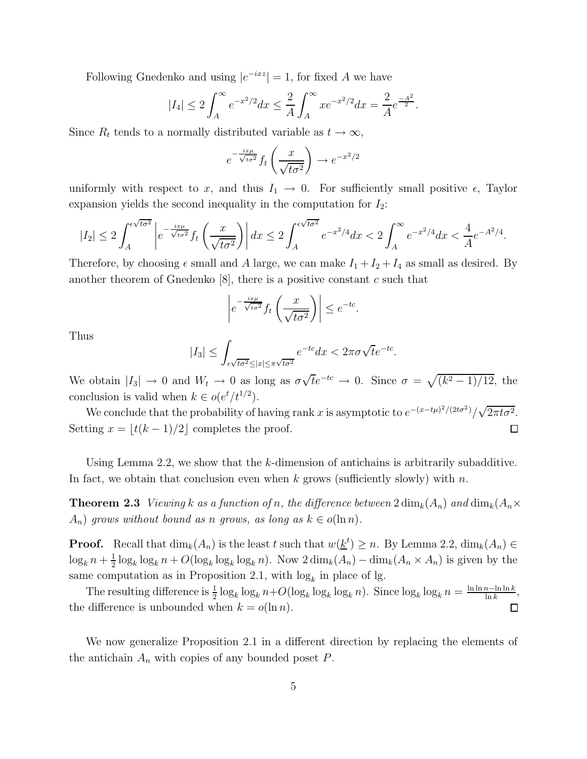Following Gnedenko and using  $|e^{-ixz}| = 1$ , for fixed A we have

$$
|I_4| \le 2 \int_A^{\infty} e^{-x^2/2} dx \le \frac{2}{A} \int_A^{\infty} x e^{-x^2/2} dx = \frac{2}{A} e^{\frac{-A^2}{2}}.
$$

Since  $R_t$  tends to a normally distributed variable as  $t \to \infty$ ,

$$
e^{-\frac{ix\mu}{\sqrt{t\sigma^2}}}f_t\left(\frac{x}{\sqrt{t\sigma^2}}\right) \to e^{-x^2/2}
$$

uniformly with respect to x, and thus  $I_1 \rightarrow 0$ . For sufficiently small positive  $\epsilon$ , Taylor expansion yields the second inequality in the computation for  $I_2$ :

$$
|I_2| \leq 2 \int_A^{\epsilon \sqrt{t\sigma^2}} \left| e^{-\frac{ix\mu}{\sqrt{t\sigma^2}}} f_t\left(\frac{x}{\sqrt{t\sigma^2}}\right) \right| dx \leq 2 \int_A^{\epsilon \sqrt{t\sigma^2}} e^{-x^2/4} dx < 2 \int_A^{\infty} e^{-x^2/4} dx < \frac{4}{A} e^{-A^2/4}.
$$

Therefore, by choosing  $\epsilon$  small and A large, we can make  $I_1 + I_2 + I_4$  as small as desired. By another theorem of Gnedenko  $[8]$ , there is a positive constant c such that

$$
\left| e^{-\frac{ix\mu}{\sqrt{t\sigma^2}}} f_t\left(\frac{x}{\sqrt{t\sigma^2}}\right) \right| \le e^{-tc}.
$$

Thus

$$
|I_3| \le \int_{\epsilon\sqrt{t\sigma^2} \le |x| \le \pi\sqrt{t\sigma^2}} e^{-tc} dx < 2\pi\sigma\sqrt{t}e^{-tc}.
$$

We obtain  $|I_3| \to 0$  and  $W_t \to 0$  as long as  $\sigma \sqrt{t}e^{-tc} \to 0$ . Since  $\sigma = \sqrt{(k^2 - 1)/12}$ , the conclusion is valid when  $k \in o(e^t/t^{1/2})$ .

We conclude that the probability of having rank x is asymptotic to  $e^{-(x-t\mu)^2/(2t\sigma^2)}/\sqrt{2\pi t\sigma^2}$ . Setting  $x = |t(k-1)/2|$  completes the proof.  $\Box$ 

Using Lemma 2.2, we show that the k-dimension of antichains is arbitrarily subadditive. In fact, we obtain that conclusion even when k grows (sufficiently slowly) with  $n$ .

**Theorem 2.3** *Viewing* k as a function of n, the difference between  $2 \dim_k(A_n)$  and  $\dim_k(A_n \times$  $A_n$ ) grows without bound as n grows, as long as  $k \in o(\ln n)$ .

**Proof.** Recall that  $\dim_k(A_n)$  is the least t such that  $w(\underline{k}^t) \geq n$ . By Lemma 2.2,  $\dim_k(A_n) \in$  $\log_k n + \frac{1}{2}$  $\frac{1}{2}\log_k \log_k n + O(\log_k \log_k \log_k n)$ . Now  $2\dim_k(A_n) - \dim_k(A_n \times A_n)$  is given by the same computation as in Proposition 2.1, with  $log<sub>k</sub>$  in place of lg.

The resulting difference is  $\frac{1}{2} \log_k \log_k n + O(\log_k \log_k \log_k n)$ . Since  $\log_k \log_k n = \frac{\ln \ln n - \ln \ln k}{\ln k}$ , the difference is unbounded when  $k = o(\ln n)$ .  $\Box$ 

We now generalize Proposition 2.1 in a different direction by replacing the elements of the antichain  $A_n$  with copies of any bounded poset  $P$ .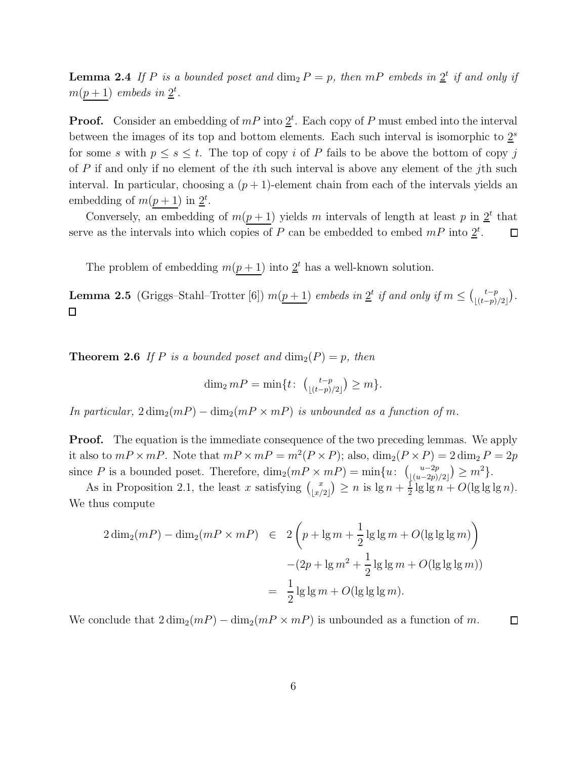**Lemma 2.4** If P is a bounded poset and  $\dim_2 P = p$ , then mP embeds in  $2^t$  if and only if  $m(p+1)$  *embeds in*  $2^t$ .

**Proof.** Consider an embedding of  $mP$  into  $2^t$ . Each copy of P must embed into the interval between the images of its top and bottom elements. Each such interval is isomorphic to  $2<sup>s</sup>$ for some s with  $p \leq s \leq t$ . The top of copy i of P fails to be above the bottom of copy j of  $P$  if and only if no element of the *i*th such interval is above any element of the *j*th such interval. In particular, choosing a  $(p+1)$ -element chain from each of the intervals yields an embedding of  $m(p + 1)$  in  $2^t$ .

Conversely, an embedding of  $m(p+1)$  yields m intervals of length at least p in  $2^t$  that serve as the intervals into which copies of P can be embedded to embed  $mP$  into  $2^t$ .  $\Box$ 

The problem of embedding  $m(p+1)$  into  $2<sup>t</sup>$  has a well-known solution.

**Lemma 2.5** (Griggs–Stahl–Trotter [6])  $m(p+1)$  *embeds in*  $2^t$  *if and only if*  $m \leq {t-p \choose \lfloor (t-p) \rfloor}$  $\frac{t-p}{\lfloor (t-p)/2 \rfloor}$ .  $\Box$ 

**Theorem 2.6** If P is a bounded poset and  $\dim_2(P) = p$ , then

$$
\dim_2 mP = \min\{t \colon \ {t-p \choose \lfloor (t-p)/2 \rfloor} \geq m\}.
$$

*In particular,*  $2 \dim_2(mP) - \dim_2(mP \times mP)$  *is unbounded as a function of m.* 

**Proof.** The equation is the immediate consequence of the two preceding lemmas. We apply it also to  $mP \times mP$ . Note that  $mP \times mP = m^2(P \times P)$ ; also,  $\dim_2(P \times P) = 2 \dim_2 P = 2p$ since P is a bounded poset. Therefore,  $\dim_2(mP \times mP) = \min\{u: \begin{pmatrix} u-2p \\ (u-2p) \end{pmatrix}$  $\frac{u-2p}{\lfloor (u-2p)/2 \rfloor} \geq m^2.$ 

As in Proposition 2.1, the least x satisfying  $\begin{pmatrix} x \\ y \end{pmatrix}$  $\binom{x}{\lfloor x/2 \rfloor} \geq n$  is  $\lg n + \frac{1}{2}$  $\frac{1}{2}$  lg lg n +  $O(\lg \lg \lg n)$ . We thus compute

$$
2\dim_2(mP) - \dim_2(mP \times mP) \quad \in \quad 2\left(p + \lg m + \frac{1}{2}\lg\lg m + O(\lg\lg\lg m)\right)
$$

$$
-(2p + \lg m^2 + \frac{1}{2}\lg\lg m + O(\lg\lg\lg m))
$$

$$
= \frac{1}{2}\lg\lg m + O(\lg\lg\lg m).
$$

We conclude that  $2 \dim_2(mP) - \dim_2(mP \times mP)$  is unbounded as a function of m.  $\Box$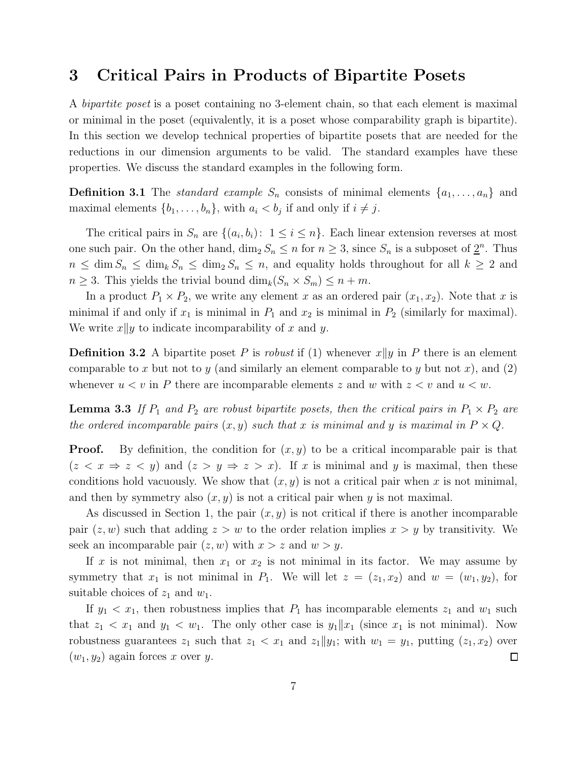# 3 Critical Pairs in Products of Bipartite Posets

A *bipartite poset* is a poset containing no 3-element chain, so that each element is maximal or minimal in the poset (equivalently, it is a poset whose comparability graph is bipartite). In this section we develop technical properties of bipartite posets that are needed for the reductions in our dimension arguments to be valid. The standard examples have these properties. We discuss the standard examples in the following form.

**Definition 3.1** The *standard example*  $S_n$  consists of minimal elements  $\{a_1, \ldots, a_n\}$  and maximal elements  $\{b_1, \ldots, b_n\}$ , with  $a_i < b_j$  if and only if  $i \neq j$ .

The critical pairs in  $S_n$  are  $\{(a_i, b_i): 1 \le i \le n\}$ . Each linear extension reverses at most one such pair. On the other hand,  $\dim_2 S_n \leq n$  for  $n \geq 3$ , since  $S_n$  is a subposet of  $\underline{2}^n$ . Thus  $n \leq \dim S_n \leq \dim_k S_n \leq \dim_2 S_n \leq n$ , and equality holds throughout for all  $k \geq 2$  and  $n \geq 3$ . This yields the trivial bound  $\dim_k(S_n \times S_m) \leq n + m$ .

In a product  $P_1 \times P_2$ , we write any element x as an ordered pair  $(x_1, x_2)$ . Note that x is minimal if and only if  $x_1$  is minimal in  $P_1$  and  $x_2$  is minimal in  $P_2$  (similarly for maximal). We write  $x||y$  to indicate incomparability of x and y.

**Definition 3.2** A bipartite poset P is *robust* if (1) whenever  $x||y$  in P there is an element comparable to x but not to y (and similarly an element comparable to y but not x), and (2) whenever  $u < v$  in P there are incomparable elements z and w with  $z < v$  and  $u < w$ .

**Lemma 3.3** If  $P_1$  and  $P_2$  are robust bipartite posets, then the critical pairs in  $P_1 \times P_2$  are *the ordered incomparable pairs*  $(x, y)$  *such that* x *is minimal and* y *is maximal in*  $P \times Q$ *.* 

**Proof.** By definition, the condition for  $(x, y)$  to be a critical incomparable pair is that  $(z < x \Rightarrow z < y)$  and  $(z > y \Rightarrow z > x)$ . If x is minimal and y is maximal, then these conditions hold vacuously. We show that  $(x, y)$  is not a critical pair when x is not minimal, and then by symmetry also  $(x, y)$  is not a critical pair when y is not maximal.

As discussed in Section 1, the pair  $(x, y)$  is not critical if there is another incomparable pair  $(z, w)$  such that adding  $z > w$  to the order relation implies  $x > y$  by transitivity. We seek an incomparable pair  $(z, w)$  with  $x > z$  and  $w > y$ .

If x is not minimal, then  $x_1$  or  $x_2$  is not minimal in its factor. We may assume by symmetry that  $x_1$  is not minimal in  $P_1$ . We will let  $z = (z_1, x_2)$  and  $w = (w_1, y_2)$ , for suitable choices of  $z_1$  and  $w_1$ .

If  $y_1 < x_1$ , then robustness implies that  $P_1$  has incomparable elements  $z_1$  and  $w_1$  such that  $z_1 < x_1$  and  $y_1 < w_1$ . The only other case is  $y_1 || x_1$  (since  $x_1$  is not minimal). Now robustness guarantees  $z_1$  such that  $z_1 < x_1$  and  $z_1 || y_1$ ; with  $w_1 = y_1$ , putting  $(z_1, x_2)$  over  $(w_1, y_2)$  again forces x over y.  $\Box$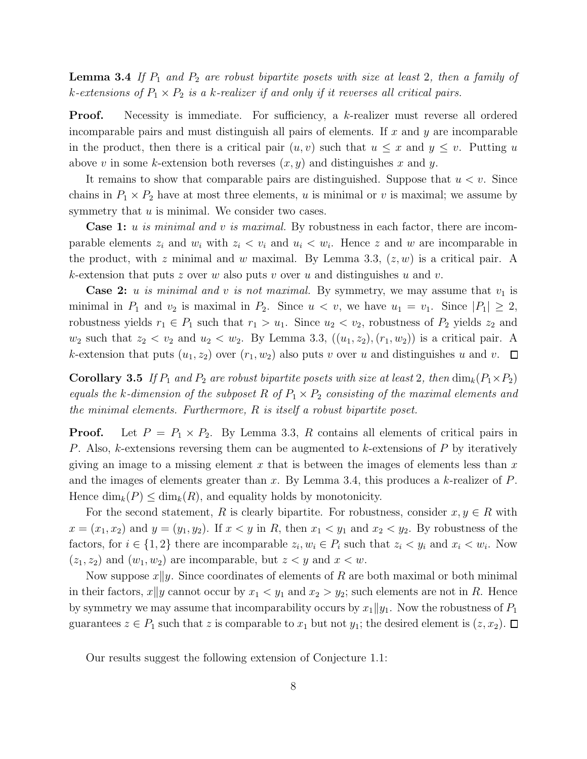**Lemma 3.4** If  $P_1$  and  $P_2$  are robust bipartite posets with size at least 2, then a family of  $k$ -extensions of  $P_1 \times P_2$  *is a*  $k$ -realizer if and only if it reverses all critical pairs.

**Proof.** Necessity is immediate. For sufficiency, a k-realizer must reverse all ordered incomparable pairs and must distinguish all pairs of elements. If  $x$  and  $y$  are incomparable in the product, then there is a critical pair  $(u, v)$  such that  $u \leq x$  and  $y \leq v$ . Putting u above v in some k-extension both reverses  $(x, y)$  and distinguishes x and y.

It remains to show that comparable pairs are distinguished. Suppose that  $u < v$ . Since chains in  $P_1 \times P_2$  have at most three elements, u is minimal or v is maximal; we assume by symmetry that  $u$  is minimal. We consider two cases.

Case 1: u *is minimal and* v *is maximal.* By robustness in each factor, there are incomparable elements  $z_i$  and  $w_i$  with  $z_i < v_i$  and  $u_i < w_i$ . Hence z and w are incomparable in the product, with z minimal and w maximal. By Lemma 3.3,  $(z, w)$  is a critical pair. A k-extension that puts z over w also puts v over u and distinguishes u and v.

**Case 2:** u is minimal and v is not maximal. By symmetry, we may assume that  $v_1$  is minimal in  $P_1$  and  $v_2$  is maximal in  $P_2$ . Since  $u < v$ , we have  $u_1 = v_1$ . Since  $|P_1| \geq 2$ , robustness yields  $r_1 \in P_1$  such that  $r_1 > u_1$ . Since  $u_2 < v_2$ , robustness of  $P_2$  yields  $z_2$  and  $w_2$  such that  $z_2 < v_2$  and  $u_2 < w_2$ . By Lemma 3.3,  $((u_1, z_2), (r_1, w_2))$  is a critical pair. A k-extension that puts  $(u_1, z_2)$  over  $(r_1, w_2)$  also puts v over u and distinguishes u and v.  $\Box$ 

**Corollary 3.5** If  $P_1$  and  $P_2$  are robust bipartite posets with size at least 2, then  $\dim_k(P_1 \times P_2)$ *equals the k-dimension of the subposet*  $R$  *of*  $P_1 \times P_2$  *consisting of the maximal elements and the minimal elements. Furthermore,* R *is itself a robust bipartite poset.*

**Proof.** Let  $P = P_1 \times P_2$ . By Lemma 3.3, R contains all elements of critical pairs in P. Also, k-extensions reversing them can be augmented to k-extensions of  $P$  by iteratively giving an image to a missing element x that is between the images of elements less than  $x$ and the images of elements greater than x. By Lemma 3.4, this produces a  $k$ -realizer of  $P$ . Hence  $\dim_k(P) \leq \dim_k(R)$ , and equality holds by monotonicity.

For the second statement, R is clearly bipartite. For robustness, consider  $x, y \in R$  with  $x = (x_1, x_2)$  and  $y = (y_1, y_2)$ . If  $x < y$  in R, then  $x_1 < y_1$  and  $x_2 < y_2$ . By robustness of the factors, for  $i \in \{1,2\}$  there are incomparable  $z_i, w_i \in P_i$  such that  $z_i < y_i$  and  $x_i < w_i$ . Now  $(z_1, z_2)$  and  $(w_1, w_2)$  are incomparable, but  $z \leq y$  and  $x \leq w$ .

Now suppose  $x||y$ . Since coordinates of elements of R are both maximal or both minimal in their factors,  $x||y$  cannot occur by  $x_1 < y_1$  and  $x_2 > y_2$ ; such elements are not in R. Hence by symmetry we may assume that incomparability occurs by  $x_1||y_1$ . Now the robustness of  $P_1$ guarantees  $z \in P_1$  such that z is comparable to  $x_1$  but not  $y_1$ ; the desired element is  $(z, x_2)$ .  $\Box$ 

Our results suggest the following extension of Conjecture 1.1: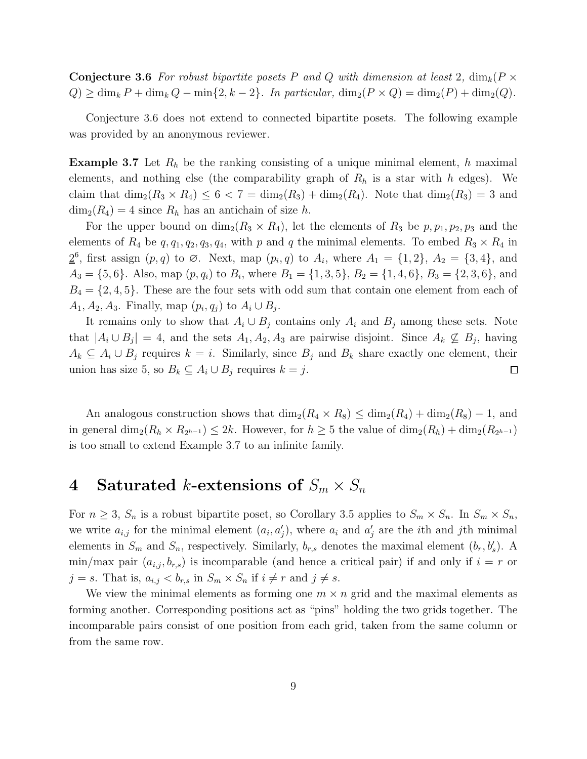**Conjecture 3.6** For robust bipartite posets P and Q with dimension at least 2,  $\dim_k(P \times P)$  $Q \geq \dim_k P + \dim_k Q - \min\{2, k-2\}$ . In particular,  $\dim_2(P \times Q) = \dim_2(P) + \dim_2(Q)$ .

Conjecture 3.6 does not extend to connected bipartite posets. The following example was provided by an anonymous reviewer.

**Example 3.7** Let  $R_h$  be the ranking consisting of a unique minimal element, h maximal elements, and nothing else (the comparability graph of  $R_h$  is a star with h edges). We claim that  $\dim_2(R_3 \times R_4) \leq 6 < 7 = \dim_2(R_3) + \dim_2(R_4)$ . Note that  $\dim_2(R_3) = 3$  and  $\dim_2(R_4) = 4$  since  $R_h$  has an antichain of size h.

For the upper bound on  $\dim_2(R_3 \times R_4)$ , let the elements of  $R_3$  be  $p, p_1, p_2, p_3$  and the elements of  $R_4$  be  $q, q_1, q_2, q_3, q_4$ , with p and q the minimal elements. To embed  $R_3 \times R_4$  in  $\underline{2}^6$ , first assign  $(p, q)$  to  $\emptyset$ . Next, map  $(p_i, q)$  to  $A_i$ , where  $A_1 = \{1, 2\}$ ,  $A_2 = \{3, 4\}$ , and  $A_3 = \{5, 6\}$ . Also, map  $(p, q_i)$  to  $B_i$ , where  $B_1 = \{1, 3, 5\}$ ,  $B_2 = \{1, 4, 6\}$ ,  $B_3 = \{2, 3, 6\}$ , and  $B_4 = \{2, 4, 5\}$ . These are the four sets with odd sum that contain one element from each of  $A_1, A_2, A_3$ . Finally, map  $(p_i, q_j)$  to  $A_i \cup B_j$ .

It remains only to show that  $A_i \cup B_j$  contains only  $A_i$  and  $B_j$  among these sets. Note that  $|A_i \cup B_j| = 4$ , and the sets  $A_1, A_2, A_3$  are pairwise disjoint. Since  $A_k \nsubseteq B_j$ , having  $A_k \subseteq A_i \cup B_j$  requires  $k = i$ . Similarly, since  $B_j$  and  $B_k$  share exactly one element, their union has size 5, so  $B_k \subseteq A_i \cup B_j$  requires  $k = j$ .  $\Box$ 

An analogous construction shows that  $\dim_2(R_4 \times R_8) \leq \dim_2(R_4) + \dim_2(R_8) - 1$ , and in general  $\dim_2(R_h \times R_{2^{h-1}}) \leq 2k$ . However, for  $h \geq 5$  the value of  $\dim_2(R_h) + \dim_2(R_{2^{h-1}})$ is too small to extend Example 3.7 to an infinite family.

# 4 Saturated k-extensions of  $S_m \times S_n$

For  $n \geq 3$ ,  $S_n$  is a robust bipartite poset, so Corollary 3.5 applies to  $S_m \times S_n$ . In  $S_m \times S_n$ , we write  $a_{i,j}$  for the minimal element  $(a_i, a'_j)$ , where  $a_i$  and  $a'_j$  are the *i*th and *j*th minimal elements in  $S_m$  and  $S_n$ , respectively. Similarly,  $b_{r,s}$  denotes the maximal element  $(b_r, b'_s)$ . A min/max pair  $(a_{i,j}, b_{r,s})$  is incomparable (and hence a critical pair) if and only if  $i = r$  or  $j = s$ . That is,  $a_{i,j} < b_{r,s}$  in  $S_m \times S_n$  if  $i \neq r$  and  $j \neq s$ .

We view the minimal elements as forming one  $m \times n$  grid and the maximal elements as forming another. Corresponding positions act as "pins" holding the two grids together. The incomparable pairs consist of one position from each grid, taken from the same column or from the same row.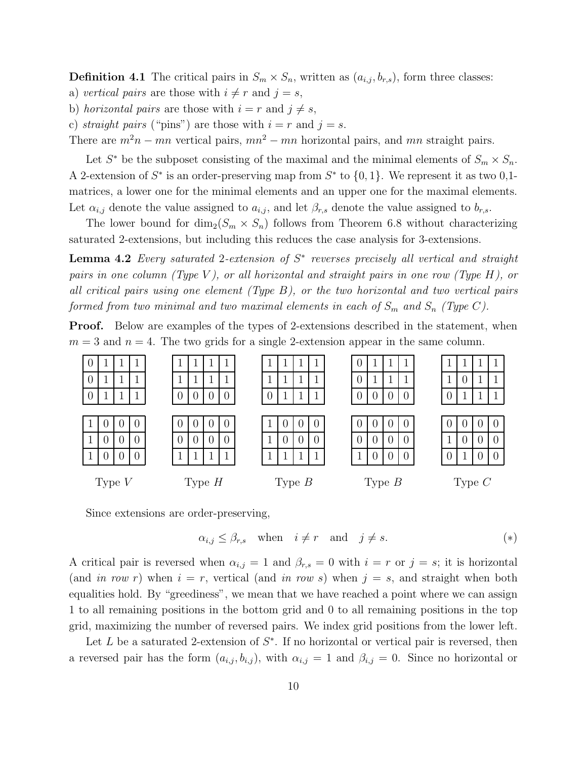**Definition 4.1** The critical pairs in  $S_m \times S_n$ , written as  $(a_{i,j}, b_{r,s})$ , form three classes:

- a) *vertical pairs* are those with  $i \neq r$  and  $j = s$ ,
- b) *horizontal pairs* are those with  $i = r$  and  $j \neq s$ ,
- c) *straight pairs* ("pins") are those with  $i = r$  and  $j = s$ .

There are  $m^2n - mn$  vertical pairs,  $mn^2 - mn$  horizontal pairs, and mn straight pairs.

Let  $S^*$  be the subposet consisting of the maximal and the minimal elements of  $S_m \times S_n$ . A 2-extension of  $S^*$  is an order-preserving map from  $S^*$  to  $\{0,1\}$ . We represent it as two 0,1matrices, a lower one for the minimal elements and an upper one for the maximal elements. Let  $\alpha_{i,j}$  denote the value assigned to  $a_{i,j}$ , and let  $\beta_{r,s}$  denote the value assigned to  $b_{r,s}$ .

The lower bound for  $\dim_2(S_m \times S_n)$  follows from Theorem 6.8 without characterizing saturated 2-extensions, but including this reduces the case analysis for 3-extensions.

Lemma 4.2 *Every saturated* 2*-extension of* S ∗ *reverses precisely all vertical and straight pairs in one column (Type* V *), or all horizontal and straight pairs in one row (Type* H*), or all critical pairs using one element (Type* B*), or the two horizontal and two vertical pairs formed from two minimal and two maximal elements in each of*  $S_m$  *and*  $S_n$  *(Type C).* 

Proof. Below are examples of the types of 2-extensions described in the statement, when  $m = 3$  and  $n = 4$ . The two grids for a single 2-extension appear in the same column.



Since extensions are order-preserving,

$$
\alpha_{i,j} \le \beta_{r,s} \quad \text{when} \quad i \ne r \quad \text{and} \quad j \ne s. \tag{*}
$$

A critical pair is reversed when  $\alpha_{i,j} = 1$  and  $\beta_{r,s} = 0$  with  $i = r$  or  $j = s$ ; it is horizontal (and *in row r*) when  $i = r$ , vertical (and *in row s*) when  $j = s$ , and straight when both equalities hold. By "greediness", we mean that we have reached a point where we can assign 1 to all remaining positions in the bottom grid and 0 to all remaining positions in the top grid, maximizing the number of reversed pairs. We index grid positions from the lower left.

Let L be a saturated 2-extension of  $S^*$ . If no horizontal or vertical pair is reversed, then a reversed pair has the form  $(a_{i,j}, b_{i,j})$ , with  $\alpha_{i,j} = 1$  and  $\beta_{i,j} = 0$ . Since no horizontal or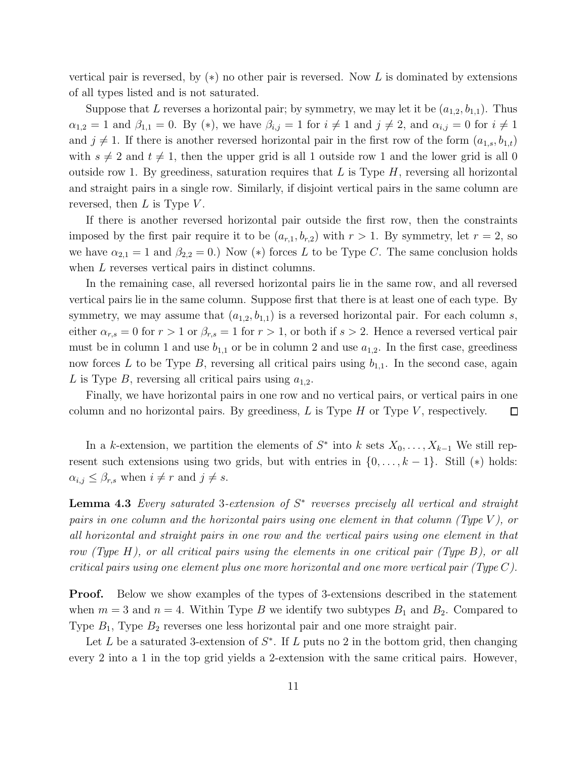vertical pair is reversed, by  $(*)$  no other pair is reversed. Now L is dominated by extensions of all types listed and is not saturated.

Suppose that L reverses a horizontal pair; by symmetry, we may let it be  $(a_{1,2}, b_{1,1})$ . Thus  $\alpha_{1,2} = 1$  and  $\beta_{1,1} = 0$ . By (\*), we have  $\beta_{i,j} = 1$  for  $i \neq 1$  and  $j \neq 2$ , and  $\alpha_{i,j} = 0$  for  $i \neq 1$ and  $j \neq 1$ . If there is another reversed horizontal pair in the first row of the form  $(a_{1,s}, b_{1,t})$ with  $s \neq 2$  and  $t \neq 1$ , then the upper grid is all 1 outside row 1 and the lower grid is all 0 outside row 1. By greediness, saturation requires that  $L$  is Type  $H$ , reversing all horizontal and straight pairs in a single row. Similarly, if disjoint vertical pairs in the same column are reversed, then  $L$  is Type  $V$ .

If there is another reversed horizontal pair outside the first row, then the constraints imposed by the first pair require it to be  $(a_{r,1}, b_{r,2})$  with  $r > 1$ . By symmetry, let  $r = 2$ , so we have  $\alpha_{2,1} = 1$  and  $\beta_{2,2} = 0$ .) Now (\*) forces L to be Type C. The same conclusion holds when L reverses vertical pairs in distinct columns.

In the remaining case, all reversed horizontal pairs lie in the same row, and all reversed vertical pairs lie in the same column. Suppose first that there is at least one of each type. By symmetry, we may assume that  $(a_{1,2}, b_{1,1})$  is a reversed horizontal pair. For each column s, either  $\alpha_{r,s} = 0$  for  $r > 1$  or  $\beta_{r,s} = 1$  for  $r > 1$ , or both if  $s > 2$ . Hence a reversed vertical pair must be in column 1 and use  $b_{1,1}$  or be in column 2 and use  $a_{1,2}$ . In the first case, greediness now forces L to be Type B, reversing all critical pairs using  $b_{1,1}$ . In the second case, again L is Type B, reversing all critical pairs using  $a_{1,2}$ .

Finally, we have horizontal pairs in one row and no vertical pairs, or vertical pairs in one column and no horizontal pairs. By greediness,  $L$  is Type  $H$  or Type  $V$ , respectively. 口

In a k-extension, we partition the elements of  $S^*$  into k sets  $X_0, \ldots, X_{k-1}$  We still represent such extensions using two grids, but with entries in  $\{0, \ldots, k-1\}$ . Still  $(*)$  holds:  $\alpha_{i,j} \leq \beta_{r,s}$  when  $i \neq r$  and  $j \neq s$ .

Lemma 4.3 *Every saturated* 3*-extension of* S ∗ *reverses precisely all vertical and straight pairs in one column and the horizontal pairs using one element in that column (Type* V *), or all horizontal and straight pairs in one row and the vertical pairs using one element in that row (Type* H*), or all critical pairs using the elements in one critical pair (Type* B*), or all critical pairs using one element plus one more horizontal and one more vertical pair (Type* C*).*

**Proof.** Below we show examples of the types of 3-extensions described in the statement when  $m = 3$  and  $n = 4$ . Within Type B we identify two subtypes  $B_1$  and  $B_2$ . Compared to Type  $B_1$ , Type  $B_2$  reverses one less horizontal pair and one more straight pair.

Let L be a saturated 3-extension of  $S^*$ . If L puts no 2 in the bottom grid, then changing every 2 into a 1 in the top grid yields a 2-extension with the same critical pairs. However,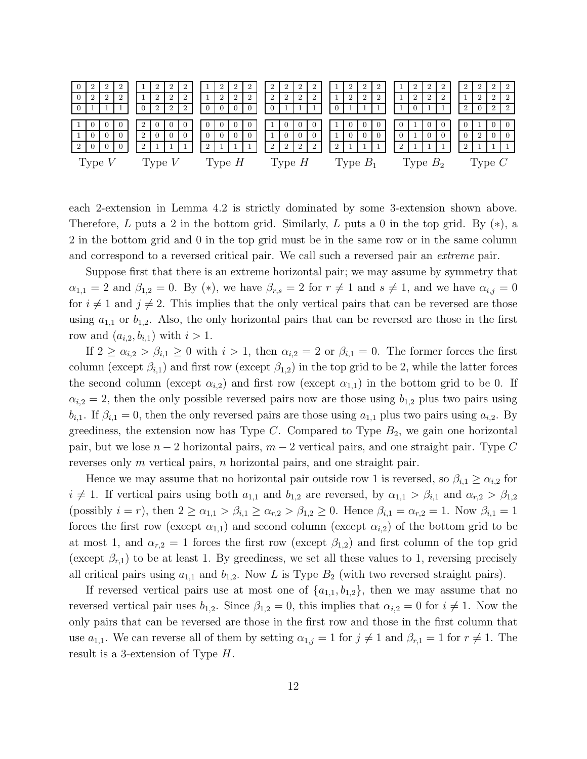|   |          | $\overline{2}$ |                |                |                | $\overline{2}$ | $\overline{2}$ |                | ▵              | $\overline{2}$ | $\overline{2}$ | $\overline{2}$ | $\overline{2}$ | $\overline{2}$ | $\overline{2}$ |                | 2              | ▵          |  |                | $\overline{2}$ | 2              | $\overline{2}$ | $\overline{2}$ | $\mathbf{2}^-$ | $\overline{2}$ | 2              |
|---|----------|----------------|----------------|----------------|----------------|----------------|----------------|----------------|----------------|----------------|----------------|----------------|----------------|----------------|----------------|----------------|----------------|------------|--|----------------|----------------|----------------|----------------|----------------|----------------|----------------|----------------|
| 0 |          | $\overline{2}$ | $\overline{2}$ |                | $\overline{2}$ | $\overline{2}$ | $\overline{2}$ |                | $\overline{2}$ | $\overline{2}$ | $\overline{2}$ | $\overline{2}$ | $\overline{2}$ | $\overline{2}$ | $\overline{2}$ |                | $\overline{2}$ | $\Omega$   |  |                | $\overline{2}$ | $\overline{2}$ | $\overline{2}$ |                | $\overline{2}$ | $\overline{2}$ | 2              |
|   |          |                |                | $\theta$       | $\overline{2}$ | 2              | $\overline{2}$ | $\overline{0}$ | $\Omega$       | $\overline{0}$ |                | $\Omega$       |                |                |                | 0              |                |            |  |                | $\Omega$       |                |                | $\overline{2}$ |                | $\overline{2}$ | $\overline{2}$ |
|   |          |                |                |                |                |                |                |                |                |                |                |                |                |                |                |                |                |            |  |                |                |                |                |                |                |                |                |
|   |          |                |                |                |                |                |                |                | $\cup$         |                |                |                |                |                |                |                |                |            |  |                |                |                |                |                |                |                |                |
|   |          | $\Omega$       |                | $\overline{2}$ |                | $\Omega$       |                | $\Omega$       | $\Omega$       | $\Omega$       |                |                |                |                |                |                | $\overline{0}$ |            |  | $\Omega$       |                |                |                | $\Omega$       | $\overline{2}$ |                |                |
| 2 |          | $\Omega$       | $\Omega$       | $\mathcal{D}$  |                |                |                | $\overline{2}$ |                |                |                | 2              | $\overline{2}$ | $\overline{2}$ | 2              | $\overline{2}$ |                |            |  | $\overline{2}$ |                |                |                | $\overline{2}$ |                |                |                |
|   | Type $V$ |                |                |                | Type $V$       |                |                |                |                | Type $H$       |                |                | Type $H$       |                |                |                |                | Type $B_1$ |  |                |                | Type $B_2$     |                |                |                | Type $C$       |                |

each 2-extension in Lemma 4.2 is strictly dominated by some 3-extension shown above. Therefore, L puts a 2 in the bottom grid. Similarly, L puts a 0 in the top grid. By  $(*)$ , a 2 in the bottom grid and 0 in the top grid must be in the same row or in the same column and correspond to a reversed critical pair. We call such a reversed pair an *extreme* pair.

Suppose first that there is an extreme horizontal pair; we may assume by symmetry that  $\alpha_{1,1} = 2$  and  $\beta_{1,2} = 0$ . By (\*), we have  $\beta_{r,s} = 2$  for  $r \neq 1$  and  $s \neq 1$ , and we have  $\alpha_{i,j} = 0$ for  $i \neq 1$  and  $j \neq 2$ . This implies that the only vertical pairs that can be reversed are those using  $a_{1,1}$  or  $b_{1,2}$ . Also, the only horizontal pairs that can be reversed are those in the first row and  $(a_{i,2}, b_{i,1})$  with  $i > 1$ .

If  $2 \ge \alpha_{i,2} > \beta_{i,1} \ge 0$  with  $i > 1$ , then  $\alpha_{i,2} = 2$  or  $\beta_{i,1} = 0$ . The former forces the first column (except  $\beta_{i,1}$ ) and first row (except  $\beta_{1,2}$ ) in the top grid to be 2, while the latter forces the second column (except  $\alpha_{i,2}$ ) and first row (except  $\alpha_{1,1}$ ) in the bottom grid to be 0. If  $\alpha_{i,2} = 2$ , then the only possible reversed pairs now are those using  $b_{1,2}$  plus two pairs using  $b_{i,1}$ . If  $\beta_{i,1} = 0$ , then the only reversed pairs are those using  $a_{1,1}$  plus two pairs using  $a_{i,2}$ . By greediness, the extension now has Type  $C$ . Compared to Type  $B_2$ , we gain one horizontal pair, but we lose  $n-2$  horizontal pairs,  $m-2$  vertical pairs, and one straight pair. Type C reverses only m vertical pairs, n horizontal pairs, and one straight pair.

Hence we may assume that no horizontal pair outside row 1 is reversed, so  $\beta_{i,1} \geq \alpha_{i,2}$  for  $i \neq 1$ . If vertical pairs using both  $a_{1,1}$  and  $b_{1,2}$  are reversed, by  $\alpha_{1,1} > \beta_{i,1}$  and  $\alpha_{r,2} > \beta_{1,2}$ (possibly  $i = r$ ), then  $2 \ge \alpha_{1,1} > \beta_{i,1} \ge \alpha_{r,2} > \beta_{1,2} \ge 0$ . Hence  $\beta_{i,1} = \alpha_{r,2} = 1$ . Now  $\beta_{i,1} = 1$ forces the first row (except  $\alpha_{1,1}$ ) and second column (except  $\alpha_{i,2}$ ) of the bottom grid to be at most 1, and  $\alpha_{r,2} = 1$  forces the first row (except  $\beta_{1,2}$ ) and first column of the top grid (except  $\beta_{r,1}$ ) to be at least 1. By greediness, we set all these values to 1, reversing precisely all critical pairs using  $a_{1,1}$  and  $b_{1,2}$ . Now L is Type  $B_2$  (with two reversed straight pairs).

If reversed vertical pairs use at most one of  $\{a_{1,1}, b_{1,2}\}$ , then we may assume that no reversed vertical pair uses  $b_{1,2}$ . Since  $\beta_{1,2} = 0$ , this implies that  $\alpha_{i,2} = 0$  for  $i \neq 1$ . Now the only pairs that can be reversed are those in the first row and those in the first column that use  $a_{1,1}$ . We can reverse all of them by setting  $\alpha_{1,j} = 1$  for  $j \neq 1$  and  $\beta_{r,1} = 1$  for  $r \neq 1$ . The result is a 3-extension of Type H.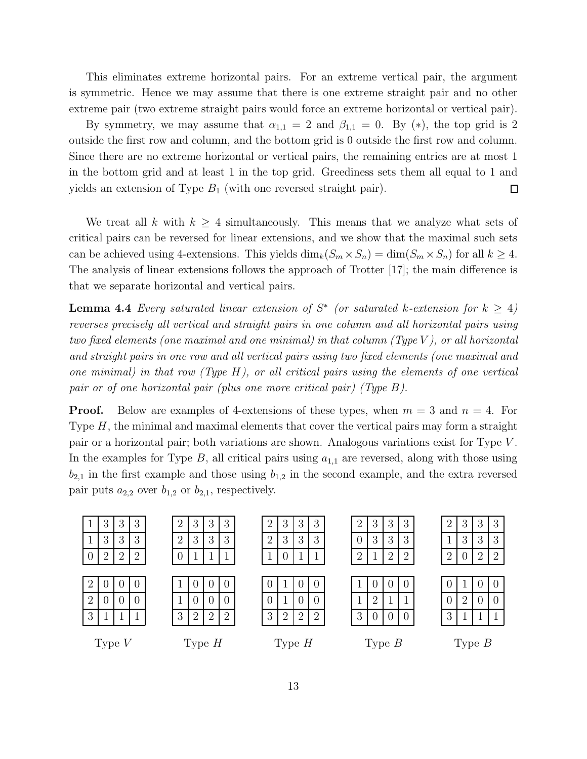This eliminates extreme horizontal pairs. For an extreme vertical pair, the argument is symmetric. Hence we may assume that there is one extreme straight pair and no other extreme pair (two extreme straight pairs would force an extreme horizontal or vertical pair).

By symmetry, we may assume that  $\alpha_{1,1} = 2$  and  $\beta_{1,1} = 0$ . By (\*), the top grid is 2 outside the first row and column, and the bottom grid is 0 outside the first row and column. Since there are no extreme horizontal or vertical pairs, the remaining entries are at most 1 in the bottom grid and at least 1 in the top grid. Greediness sets them all equal to 1 and yields an extension of Type  $B_1$  (with one reversed straight pair).  $\Box$ 

We treat all k with  $k \geq 4$  simultaneously. This means that we analyze what sets of critical pairs can be reversed for linear extensions, and we show that the maximal such sets can be achieved using 4-extensions. This yields  $\dim_k(S_m \times S_n) = \dim(S_m \times S_n)$  for all  $k \geq 4$ . The analysis of linear extensions follows the approach of Trotter [17]; the main difference is that we separate horizontal and vertical pairs.

**Lemma 4.4** Every saturated linear extension of  $S^*$  (or saturated k-extension for  $k \geq 4$ ) *reverses precisely all vertical and straight pairs in one column and all horizontal pairs using two fixed elements (one maximal and one minimal) in that column (Type* V *), or all horizontal and straight pairs in one row and all vertical pairs using two fixed elements (one maximal and one minimal) in that row (Type* H*), or all critical pairs using the elements of one vertical pair or of one horizontal pair (plus one more critical pair) (Type* B*).*

**Proof.** Below are examples of 4-extensions of these types, when  $m = 3$  and  $n = 4$ . For Type  $H$ , the minimal and maximal elements that cover the vertical pairs may form a straight pair or a horizontal pair; both variations are shown. Analogous variations exist for Type V . In the examples for Type B, all critical pairs using  $a_{1,1}$  are reversed, along with those using  $b_{2,1}$  in the first example and those using  $b_{1,2}$  in the second example, and the extra reversed pair puts  $a_{2,2}$  over  $b_{1,2}$  or  $b_{2,1}$ , respectively.

|                | 3              | 3              | 3              |  | ി | 3              | 3        | 3             | $\overline{2}$ | 3      | 3        | 3                |  | റ<br>∠ | 3 | 3              | 3                |  | $\overline{2}$ | 3              | 3              | 3              |
|----------------|----------------|----------------|----------------|--|---|----------------|----------|---------------|----------------|--------|----------|------------------|--|--------|---|----------------|------------------|--|----------------|----------------|----------------|----------------|
|                | 3              | 3              | 3              |  | 2 | 3              | 3        | 3             | $\overline{2}$ | 3      | 3        | 3                |  |        | 3 | 3              | 3                |  |                | 3              | 3              | 3              |
|                | $\overline{2}$ | $\overline{2}$ | $\overline{2}$ |  | U | 1              |          |               |                | O.     |          |                  |  | റ      |   | $\overline{2}$ | $\overline{2}$   |  | റ<br>∠         | $\theta$       | $\overline{2}$ | $\overline{2}$ |
|                |                |                |                |  |   |                |          |               |                |        |          |                  |  |        |   |                |                  |  |                |                |                |                |
| ച              | ()             | O              | $\theta$       |  |   | $\cup$         | 0        | $\Omega$      |                |        | 0        | $\left( \right)$ |  |        | 0 | $\Omega$       | $\left( \right)$ |  | O              |                | $\cup$         | 0              |
| $\overline{2}$ | $\overline{0}$ | $\theta$       | $\overline{0}$ |  |   | $\cup$         | $\theta$ |               |                |        | 0        |                  |  |        | റ | 1              |                  |  | $\overline{0}$ | $\overline{2}$ | $\cup$         | $\bigcap$      |
| 3              |                |                |                |  | 3 | $\overline{2}$ | $\Omega$ | $\Omega$<br>∠ | 3              | റ<br>∠ | റ        | $\Omega$         |  | 3      |   | $\Omega$       | 0                |  | 3              |                |                | 1              |
|                |                |                |                |  |   |                |          |               |                |        |          |                  |  |        |   |                |                  |  |                |                |                |                |
| Type $V$       |                |                | Type $H$       |  |   | Type $H$       |          |               |                |        | Type $B$ |                  |  |        |   | Type $B$       |                  |  |                |                |                |                |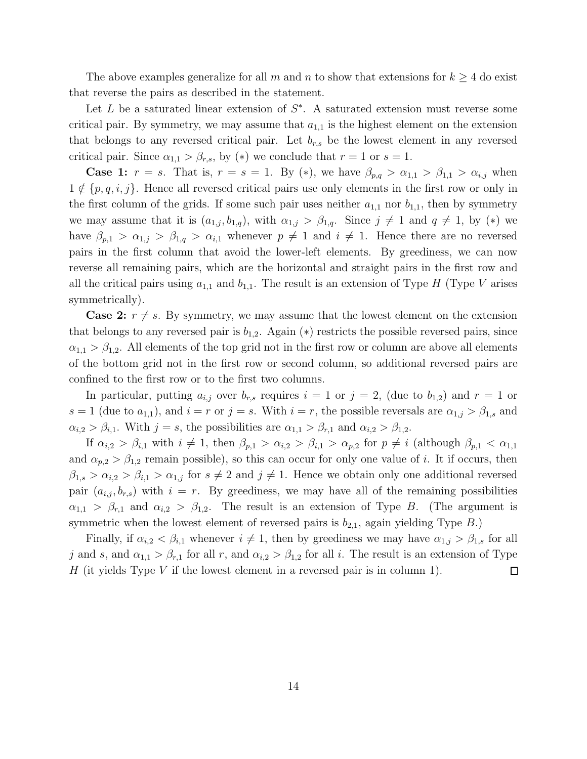The above examples generalize for all m and n to show that extensions for  $k \geq 4$  do exist that reverse the pairs as described in the statement.

Let L be a saturated linear extension of  $S^*$ . A saturated extension must reverse some critical pair. By symmetry, we may assume that  $a_{1,1}$  is the highest element on the extension that belongs to any reversed critical pair. Let  $b_{r,s}$  be the lowest element in any reversed critical pair. Since  $\alpha_{1,1} > \beta_{r,s}$ , by (\*) we conclude that  $r = 1$  or  $s = 1$ .

**Case 1:**  $r = s$ . That is,  $r = s = 1$ . By (\*), we have  $\beta_{p,q} > \alpha_{1,1} > \beta_{1,1} > \alpha_{i,j}$  when  $1 \notin \{p, q, i, j\}$ . Hence all reversed critical pairs use only elements in the first row or only in the first column of the grids. If some such pair uses neither  $a_{1,1}$  nor  $b_{1,1}$ , then by symmetry we may assume that it is  $(a_{1,j}, b_{1,q})$ , with  $\alpha_{1,j} > \beta_{1,q}$ . Since  $j \neq 1$  and  $q \neq 1$ , by  $(*)$  we have  $\beta_{p,1} > \alpha_{1,j} > \beta_{1,q} > \alpha_{i,1}$  whenever  $p \neq 1$  and  $i \neq 1$ . Hence there are no reversed pairs in the first column that avoid the lower-left elements. By greediness, we can now reverse all remaining pairs, which are the horizontal and straight pairs in the first row and all the critical pairs using  $a_{1,1}$  and  $b_{1,1}$ . The result is an extension of Type H (Type V arises symmetrically).

**Case 2:**  $r \neq s$ . By symmetry, we may assume that the lowest element on the extension that belongs to any reversed pair is  $b_{1,2}$ . Again (\*) restricts the possible reversed pairs, since  $\alpha_{1,1} > \beta_{1,2}$ . All elements of the top grid not in the first row or column are above all elements of the bottom grid not in the first row or second column, so additional reversed pairs are confined to the first row or to the first two columns.

In particular, putting  $a_{i,j}$  over  $b_{r,s}$  requires  $i = 1$  or  $j = 2$ , (due to  $b_{1,2}$ ) and  $r = 1$  or  $s = 1$  (due to  $a_{1,1}$ ), and  $i = r$  or  $j = s$ . With  $i = r$ , the possible reversals are  $\alpha_{1,j} > \beta_{1,s}$  and  $\alpha_{i,2} > \beta_{i,1}$ . With  $j = s$ , the possibilities are  $\alpha_{1,1} > \beta_{r,1}$  and  $\alpha_{i,2} > \beta_{1,2}$ .

If  $\alpha_{i,2} > \beta_{i,1}$  with  $i \neq 1$ , then  $\beta_{p,1} > \alpha_{i,2} > \beta_{i,1} > \alpha_{p,2}$  for  $p \neq i$  (although  $\beta_{p,1} < \alpha_{1,1}$ and  $\alpha_{p,2} > \beta_{1,2}$  remain possible), so this can occur for only one value of i. It if occurs, then  $\beta_{1,s} > \alpha_{i,2} > \beta_{i,1} > \alpha_{1,j}$  for  $s \neq 2$  and  $j \neq 1$ . Hence we obtain only one additional reversed pair  $(a_{i,j}, b_{r,s})$  with  $i = r$ . By greediness, we may have all of the remaining possibilities  $\alpha_{1,1} > \beta_{r,1}$  and  $\alpha_{i,2} > \beta_{1,2}$ . The result is an extension of Type B. (The argument is symmetric when the lowest element of reversed pairs is  $b_{2,1}$ , again yielding Type B.)

Finally, if  $\alpha_{i,2} < \beta_{i,1}$  whenever  $i \neq 1$ , then by greediness we may have  $\alpha_{1,j} > \beta_{1,s}$  for all j and s, and  $\alpha_{1,1} > \beta_{r,1}$  for all r, and  $\alpha_{i,2} > \beta_{1,2}$  for all i. The result is an extension of Type H (it yields Type V if the lowest element in a reversed pair is in column 1).  $\Box$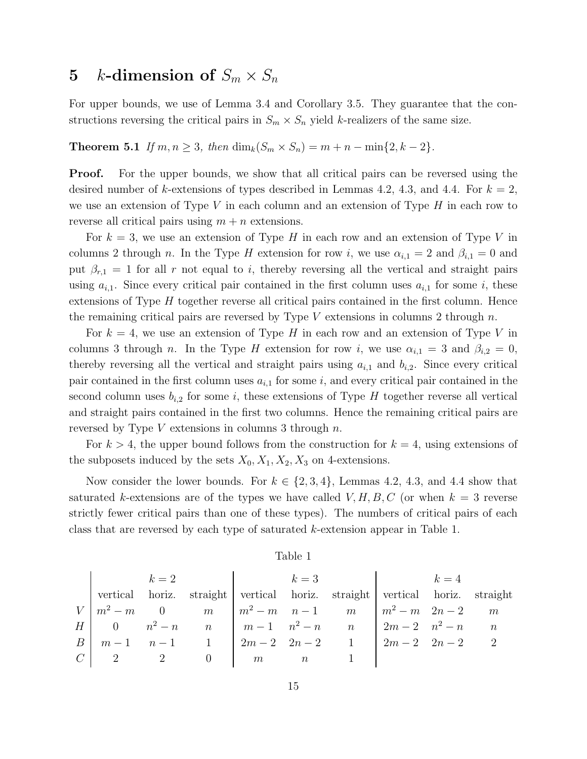# 5 k-dimension of  $S_m \times S_n$

For upper bounds, we use of Lemma 3.4 and Corollary 3.5. They guarantee that the constructions reversing the critical pairs in  $S_m \times S_n$  yield k-realizers of the same size.

**Theorem 5.1** *If*  $m, n \geq 3$ *, then* dim<sub>k</sub> $(S_m \times S_n) = m + n - \min\{2, k - 2\}$ *.* 

**Proof.** For the upper bounds, we show that all critical pairs can be reversed using the desired number of k-extensions of types described in Lemmas 4.2, 4.3, and 4.4. For  $k = 2$ , we use an extension of Type V in each column and an extension of Type  $H$  in each row to reverse all critical pairs using  $m + n$  extensions.

For  $k = 3$ , we use an extension of Type H in each row and an extension of Type V in columns 2 through n. In the Type H extension for row i, we use  $\alpha_{i,1} = 2$  and  $\beta_{i,1} = 0$  and put  $\beta_{r,1} = 1$  for all r not equal to i, thereby reversing all the vertical and straight pairs using  $a_{i,1}$ . Since every critical pair contained in the first column uses  $a_{i,1}$  for some i, these extensions of Type  $H$  together reverse all critical pairs contained in the first column. Hence the remaining critical pairs are reversed by Type V extensions in columns 2 through  $n$ .

For  $k = 4$ , we use an extension of Type H in each row and an extension of Type V in columns 3 through n. In the Type H extension for row i, we use  $\alpha_{i,1} = 3$  and  $\beta_{i,2} = 0$ , thereby reversing all the vertical and straight pairs using  $a_{i,1}$  and  $b_{i,2}$ . Since every critical pair contained in the first column uses  $a_{i,1}$  for some i, and every critical pair contained in the second column uses  $b_{i,2}$  for some i, these extensions of Type H together reverse all vertical and straight pairs contained in the first two columns. Hence the remaining critical pairs are reversed by Type  $V$  extensions in columns 3 through  $n$ .

For  $k > 4$ , the upper bound follows from the construction for  $k = 4$ , using extensions of the subposets induced by the sets  $X_0, X_1, X_2, X_3$  on 4-extensions.

Now consider the lower bounds. For  $k \in \{2, 3, 4\}$ , Lemmas 4.2, 4.3, and 4.4 show that saturated k-extensions are of the types we have called  $V, H, B, C$  (or when  $k = 3$  reverse strictly fewer critical pairs than one of these types). The numbers of critical pairs of each class that are reversed by each type of saturated  $k$ -extension appear in Table 1.

|  | $k=2$ |                                                                                          |  | $k = 3$ $k = 4$ |  |
|--|-------|------------------------------------------------------------------------------------------|--|-----------------|--|
|  |       | vertical horiz. straight vertical horiz. straight vertical horiz. straight               |  |                 |  |
|  |       | $V \mid m^2 - m$ 0 m $\mid m^2 - m$ n -1 m $\mid m^2 - m$ 2n -2 m                        |  |                 |  |
|  |       | $H \begin{bmatrix} 0 & n^2 - n & n \end{bmatrix}$ $m-1$ $n^2 - n$ $n$ $2m-2$ $n^2 - n$ n |  |                 |  |
|  |       | $B \mid m-1 \mid n-1 \mid 1 \mid 2m-2 \mid 2n-2 \mid 1 \mid 2m-2 \mid 2n-2 \mid 2$       |  |                 |  |
|  |       | $C$   2   2   0   $m$   1                                                                |  |                 |  |

#### Table 1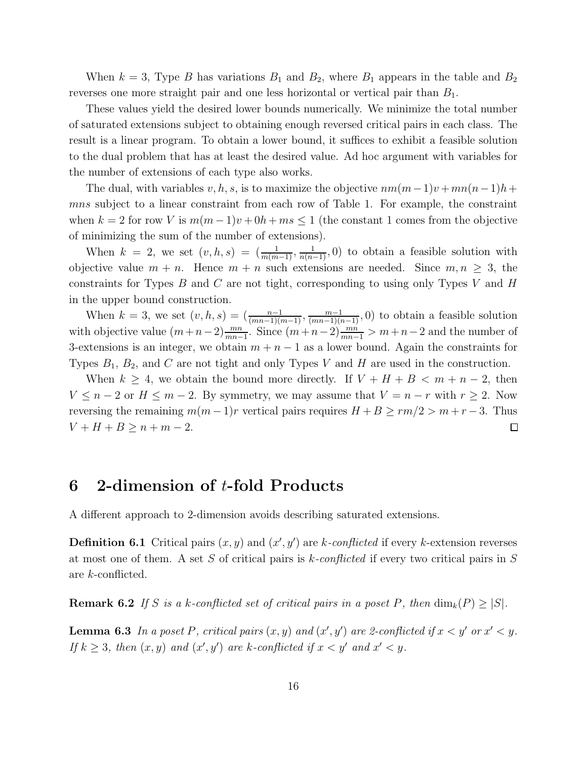When  $k = 3$ , Type B has variations  $B_1$  and  $B_2$ , where  $B_1$  appears in the table and  $B_2$ reverses one more straight pair and one less horizontal or vertical pair than  $B_1$ .

These values yield the desired lower bounds numerically. We minimize the total number of saturated extensions subject to obtaining enough reversed critical pairs in each class. The result is a linear program. To obtain a lower bound, it suffices to exhibit a feasible solution to the dual problem that has at least the desired value. Ad hoc argument with variables for the number of extensions of each type also works.

The dual, with variables v, h, s, is to maximize the objective  $nm(m-1)v + mn(n-1)h +$ mns subject to a linear constraint from each row of Table 1. For example, the constraint when  $k = 2$  for row V is  $m(m-1)v + 0h + ms \le 1$  (the constant 1 comes from the objective of minimizing the sum of the number of extensions).

When  $k = 2$ , we set  $(v, h, s) = \left(\frac{1}{m(m-1)}, \frac{1}{n(n-1)}, 0\right)$  to obtain a feasible solution with objective value  $m + n$ . Hence  $m + n$  such extensions are needed. Since  $m, n \geq 3$ , the constraints for Types  $B$  and  $C$  are not tight, corresponding to using only Types  $V$  and  $H$ in the upper bound construction.

When  $k = 3$ , we set  $(v, h, s) = \left(\frac{n-1}{(mn-1)(m-1)}, \frac{m-1}{(mn-1)(n-1)}, 0\right)$  to obtain a feasible solution with objective value  $(m+n-2) \frac{mn}{mn-1}$ . Since  $(m+n-2) \frac{mn}{mn-1} > m+n-2$  and the number of 3-extensions is an integer, we obtain  $m + n - 1$  as a lower bound. Again the constraints for Types  $B_1$ ,  $B_2$ , and C are not tight and only Types V and H are used in the construction.

When  $k \geq 4$ , we obtain the bound more directly. If  $V + H + B < m + n - 2$ , then  $V \leq n-2$  or  $H \leq m-2$ . By symmetry, we may assume that  $V = n-r$  with  $r \geq 2$ . Now reversing the remaining  $m(m-1)r$  vertical pairs requires  $H + B \ge rm/2 > m + r - 3$ . Thus  $V + H + B \ge n + m - 2.$  $\Box$ 

# 6 2-dimension of t-fold Products

A different approach to 2-dimension avoids describing saturated extensions.

**Definition 6.1** Critical pairs  $(x, y)$  and  $(x', y')$  are k-conflicted if every k-extension reverses at most one of them. A set S of critical pairs is k*-conflicted* if every two critical pairs in S are k-conflicted.

**Remark 6.2** If S is a k-conflicted set of critical pairs in a poset P, then  $\dim_k(P) \geq |S|$ .

**Lemma 6.3** In a poset P, critical pairs  $(x, y)$  and  $(x', y')$  are 2-conflicted if  $x < y'$  or  $x' < y$ . If  $k \geq 3$ , then  $(x, y)$  and  $(x', y')$  are k-conflicted if  $x < y'$  and  $x' < y$ .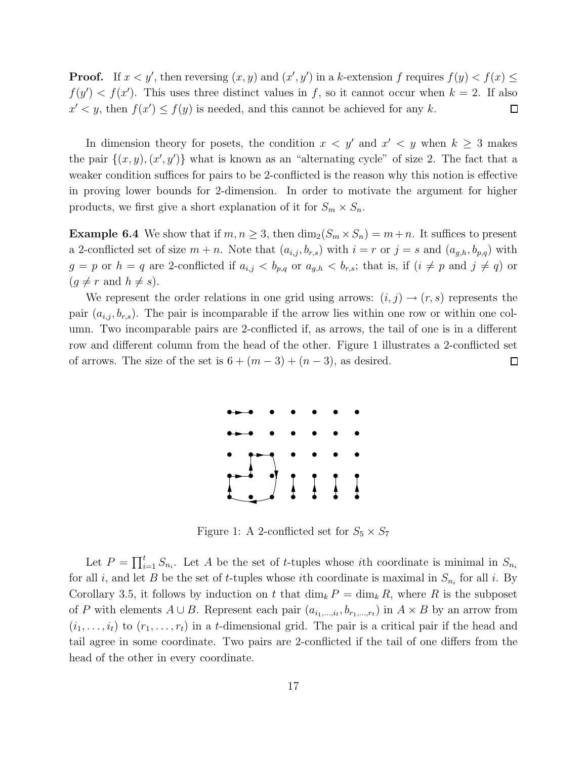**Proof.** If  $x < y'$ , then reversing  $(x, y)$  and  $(x', y')$  in a k-extension f requires  $f(y) < f(x) \le$  $f(y') < f(x')$ . This uses three distinct values in f, so it cannot occur when  $k = 2$ . If also  $x' < y$ , then  $f(x') \le f(y)$  is needed, and this cannot be achieved for any k.  $\Box$ 

In dimension theory for posets, the condition  $x < y'$  and  $x' < y$  when  $k \geq 3$  makes the pair  $\{(x, y), (x', y')\}$  what is known as an "alternating cycle" of size 2. The fact that a weaker condition suffices for pairs to be 2-conflicted is the reason why this notion is effective in proving lower bounds for 2-dimension. In order to motivate the argument for higher products, we first give a short explanation of it for  $S_m \times S_n$ .

**Example 6.4** We show that if  $m, n \geq 3$ , then  $\dim_2(S_m \times S_n) = m+n$ . It suffices to present a 2-conflicted set of size  $m + n$ . Note that  $(a_{i,j}, b_{r,s})$  with  $i = r$  or  $j = s$  and  $(a_{g,h}, b_{p,q})$  with  $g = p$  or  $h = q$  are 2-conflicted if  $a_{i,j} < b_{p,q}$  or  $a_{g,h} < b_{r,s}$ ; that is, if  $(i \neq p$  and  $j \neq q)$  or  $(g \neq r \text{ and } h \neq s).$ 

We represent the order relations in one grid using arrows:  $(i, j) \rightarrow (r, s)$  represents the pair  $(a_{i,j}, b_{r,s})$ . The pair is incomparable if the arrow lies within one row or within one column. Two incomparable pairs are 2-conflicted if, as arrows, the tail of one is in a different row and different column from the head of the other. Figure 1 illustrates a 2-conflicted set of arrows. The size of the set is  $6 + (m-3) + (n-3)$ , as desired.  $\Box$ 



Figure 1: A 2-conflicted set for  $S_5 \times S_7$ 

Let  $P = \prod_{i=1}^t S_{n_i}$ . Let A be the set of t-tuples whose ith coordinate is minimal in  $S_{n_i}$ for all *i*, and let *B* be the set of *t*-tuples whose *i*th coordinate is maximal in  $S_{n_i}$  for all *i*. By Corollary 3.5, it follows by induction on t that  $\dim_k P = \dim_k R$ , where R is the subposet of P with elements  $A \cup B$ . Represent each pair  $(a_{i_1,\dots,i_t}, b_{r_1,\dots,r_t})$  in  $A \times B$  by an arrow from  $(i_1, \ldots, i_t)$  to  $(r_1, \ldots, r_t)$  in a t-dimensional grid. The pair is a critical pair if the head and tail agree in some coordinate. Two pairs are 2-conflicted if the tail of one differs from the head of the other in every coordinate.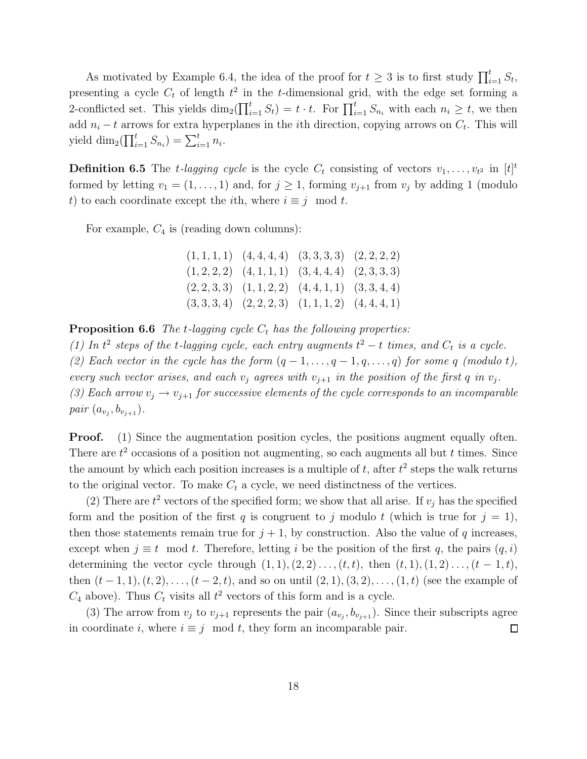As motivated by Example 6.4, the idea of the proof for  $t \geq 3$  is to first study  $\prod_{i=1}^{t} S_t$ , presenting a cycle  $C_t$  of length  $t^2$  in the t-dimensional grid, with the edge set forming a 2-conflicted set. This yields  $\dim_2(\prod_{i=1}^t S_i) = t \cdot t$ . For  $\prod_{i=1}^t S_{n_i}$  with each  $n_i \geq t$ , we then add  $n_i - t$  arrows for extra hyperplanes in the *i*th direction, copying arrows on  $C_t$ . This will yield  $\dim_2(\prod_{i=1}^t S_{n_i}) = \sum_{i=1}^t n_i$ .

**Definition 6.5** The *t*-lagging cycle is the cycle  $C_t$  consisting of vectors  $v_1, \ldots, v_{t^2}$  in  $[t]^t$ formed by letting  $v_1 = (1, \ldots, 1)$  and, for  $j \geq 1$ , forming  $v_{j+1}$  from  $v_j$  by adding 1 (modulo t) to each coordinate except the *i*th, where  $i \equiv j \mod t$ .

For example,  $C_4$  is (reading down columns):

| $(1, 1, 1, 1)$ $(4, 4, 4, 4)$ $(3, 3, 3, 3)$ $(2, 2, 2, 2)$ |  |
|-------------------------------------------------------------|--|
| $(1,2,2,2)$ $(4,1,1,1)$ $(3,4,4,4)$ $(2,3,3,3)$             |  |
| $(2,2,3,3)$ $(1,1,2,2)$ $(4,4,1,1)$ $(3,3,4,4)$             |  |
| $(3,3,3,4)$ $(2,2,2,3)$ $(1,1,1,2)$ $(4,4,4,1)$             |  |

**Proposition 6.6** *The t-lagging cycle*  $C_t$  *has the following properties:* 

(1) In  $t^2$  steps of the *t*-lagging cycle, each entry augments  $t^2 - t$  times, and  $C_t$  is a cycle. (2) Each vector in the cycle has the form  $(q-1,\ldots,q-1,q,\ldots,q)$  for some q *(modulo t)*, *every such vector arises, and each*  $v_j$  *agrees with*  $v_{j+1}$  *in the position of the first* q *in*  $v_j$ *.* (3) Each arrow  $v_j \rightarrow v_{j+1}$  for successive elements of the cycle corresponds to an incomparable *pair*  $(a_{v_j}, b_{v_{j+1}})$ *.* 

**Proof.** (1) Since the augmentation position cycles, the positions augment equally often. There are  $t^2$  occasions of a position not augmenting, so each augments all but t times. Since the amount by which each position increases is a multiple of  $t$ , after  $t^2$  steps the walk returns to the original vector. To make  $C_t$  a cycle, we need distinctness of the vertices.

(2) There are  $t^2$  vectors of the specified form; we show that all arise. If  $v_j$  has the specified form and the position of the first q is congruent to j modulo t (which is true for  $j = 1$ ), then those statements remain true for  $j + 1$ , by construction. Also the value of q increases, except when  $j \equiv t \mod t$ . Therefore, letting i be the position of the first q, the pairs  $(q, i)$ determining the vector cycle through  $(1, 1), (2, 2), \ldots, (t, t)$ , then  $(t, 1), (1, 2), \ldots, (t - 1, t)$ , then  $(t-1, 1), (t, 2), \ldots, (t-2, t)$ , and so on until  $(2, 1), (3, 2), \ldots, (1, t)$  (see the example of  $C_4$  above). Thus  $C_t$  visits all  $t^2$  vectors of this form and is a cycle.

(3) The arrow from  $v_j$  to  $v_{j+1}$  represents the pair  $(a_{v_j}, b_{v_{j+1}})$ . Since their subscripts agree in coordinate i, where  $i \equiv j \mod t$ , they form an incomparable pair.  $\Box$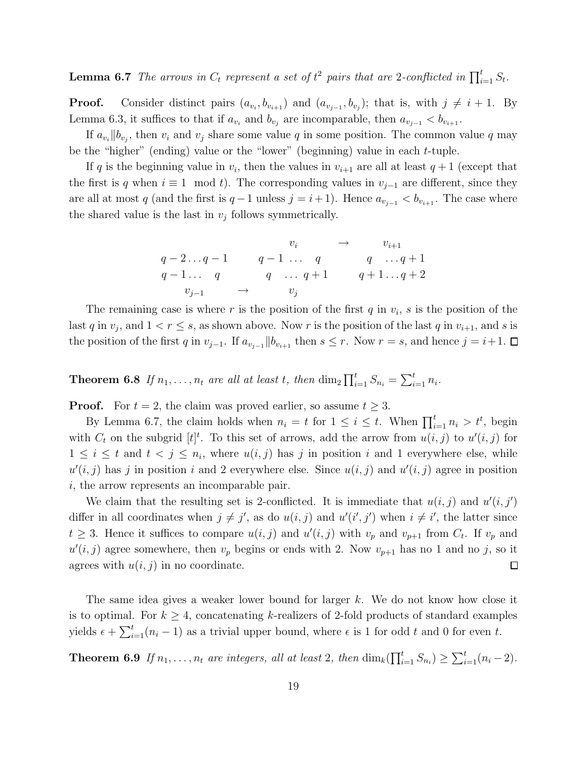**Lemma 6.7** The arrows in  $C_t$  represent a set of  $t^2$  pairs that are 2-conflicted in  $\prod_{i=1}^t S_t$ .

**Proof.** Consider distinct pairs  $(a_{v_i}, b_{v_{i+1}})$  and  $(a_{v_{j-1}}, b_{v_j})$ ; that is, with  $j \neq i+1$ . By Lemma 6.3, it suffices to that if  $a_{v_i}$  and  $b_{v_j}$  are incomparable, then  $a_{v_{j-1}} < b_{v_{i+1}}$ .

If  $a_{v_i}$  || $b_{v_j}$ , then  $v_i$  and  $v_j$  share some value q in some position. The common value q may be the "higher" (ending) value or the "lower" (beginning) value in each t-tuple.

If q is the beginning value in  $v_i$ , then the values in  $v_{i+1}$  are all at least  $q+1$  (except that the first is q when  $i \equiv 1 \mod t$ . The corresponding values in  $v_{j-1}$  are different, since they are all at most q (and the first is  $q-1$  unless  $j = i+1$ ). Hence  $a_{v_{i-1}} < b_{v_{i+1}}$ . The case where the shared value is the last in  $v_j$  follows symmetrically.

$$
q - 2 \dots q - 1 \qquad q - 1 \dots q \qquad q \qquad q \qquad \dots q + 1
$$
  
\n
$$
q - 1 \dots q \qquad q \qquad q \qquad q + 1 \dots q + 2
$$
  
\n
$$
v_{j-1} \qquad \rightarrow \qquad v_j
$$

The remaining case is where r is the position of the first  $q$  in  $v_i$ ,  $s$  is the position of the last q in  $v_j$ , and  $1 < r \leq s$ , as shown above. Now r is the position of the last q in  $v_{i+1}$ , and s is the position of the first q in  $v_{j-1}$ . If  $a_{v_{j-1}}$  || $b_{v_{i+1}}$  then  $s \leq r$ . Now  $r = s$ , and hence  $j = i+1$ .

**Theorem 6.8** If  $n_1, \ldots, n_t$  are all at least t, then  $\dim_2 \prod_{i=1}^t S_{n_i} = \sum_{i=1}^t n_i$ .

**Proof.** For  $t = 2$ , the claim was proved earlier, so assume  $t \geq 3$ .

By Lemma 6.7, the claim holds when  $n_i = t$  for  $1 \leq i \leq t$ . When  $\prod_{i=1}^{t} n_i > t^t$ , begin with  $C_t$  on the subgrid  $[t]^t$ . To this set of arrows, add the arrow from  $u(i, j)$  to  $u'(i, j)$  for  $1 \leq i \leq t$  and  $t < j \leq n_i$ , where  $u(i, j)$  has j in position i and 1 everywhere else, while  $u'(i, j)$  has j in position i and 2 everywhere else. Since  $u(i, j)$  and  $u'(i, j)$  agree in position i, the arrow represents an incomparable pair.

We claim that the resulting set is 2-conflicted. It is immediate that  $u(i, j)$  and  $u'(i, j')$ differ in all coordinates when  $j \neq j'$ , as do  $u(i, j)$  and  $u'(i', j')$  when  $i \neq i'$ , the latter since  $t \geq 3$ . Hence it suffices to compare  $u(i, j)$  and  $u'(i, j)$  with  $v_p$  and  $v_{p+1}$  from  $C_t$ . If  $v_p$  and  $u'(i, j)$  agree somewhere, then  $v_p$  begins or ends with 2. Now  $v_{p+1}$  has no 1 and no j, so it agrees with  $u(i, j)$  in no coordinate.  $\Box$ 

The same idea gives a weaker lower bound for larger k. We do not know how close it is to optimal. For  $k \geq 4$ , concatenating k-realizers of 2-fold products of standard examples yields  $\epsilon + \sum_{i=1}^{t} (n_i - 1)$  as a trivial upper bound, where  $\epsilon$  is 1 for odd t and 0 for even t.

**Theorem 6.9** If  $n_1, \ldots, n_t$  are integers, all at least 2, then  $\dim_k(\prod_{i=1}^t S_{n_i}) \geq \sum_{i=1}^t (n_i - 2)$ *.*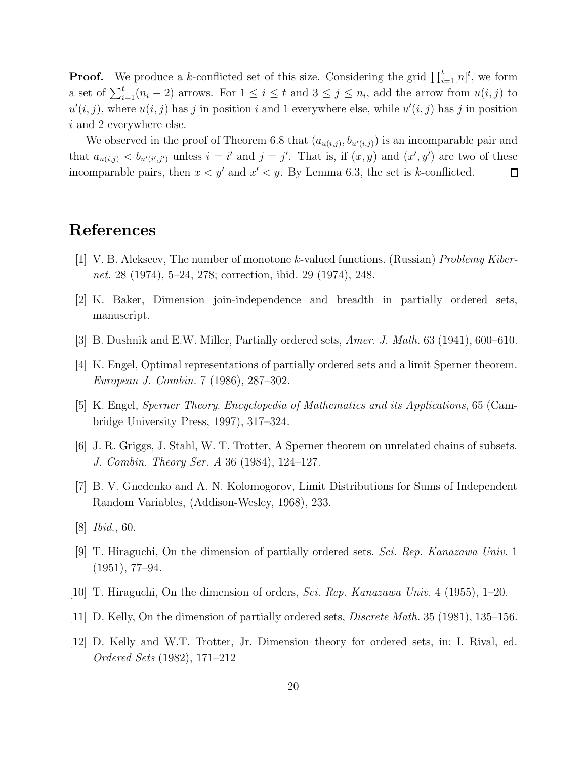**Proof.** We produce a k-conflicted set of this size. Considering the grid  $\prod_{i=1}^{t} [n]^t$ , we form a set of  $\sum_{i=1}^{t} (n_i - 2)$  arrows. For  $1 \leq i \leq t$  and  $3 \leq j \leq n_i$ , add the arrow from  $u(i, j)$  to  $u'(i, j)$ , where  $u(i, j)$  has j in position i and 1 everywhere else, while  $u'(i, j)$  has j in position i and 2 everywhere else.

We observed in the proof of Theorem 6.8 that  $(a_{u(i,j)}, b_{u'(i,j)})$  is an incomparable pair and that  $a_{u(i,j)} < b_{u'(i',j')}$  unless  $i = i'$  and  $j = j'$ . That is, if  $(x, y)$  and  $(x', y')$  are two of these incomparable pairs, then  $x < y'$  and  $x' < y$ . By Lemma 6.3, the set is k-conflicted.  $\Box$ 

# References

- [1] V. B. Alekseev, The number of monotone k-valued functions. (Russian) *Problemy Kibernet.* 28 (1974), 5–24, 278; correction, ibid. 29 (1974), 248.
- [2] K. Baker, Dimension join-independence and breadth in partially ordered sets, manuscript.
- [3] B. Dushnik and E.W. Miller, Partially ordered sets, *Amer. J. Math.* 63 (1941), 600–610.
- [4] K. Engel, Optimal representations of partially ordered sets and a limit Sperner theorem. *European J. Combin.* 7 (1986), 287–302.
- [5] K. Engel, *Sperner Theory*. *Encyclopedia of Mathematics and its Applications*, 65 (Cambridge University Press, 1997), 317–324.
- [6] J. R. Griggs, J. Stahl, W. T. Trotter, A Sperner theorem on unrelated chains of subsets. *J. Combin. Theory Ser. A* 36 (1984), 124–127.
- [7] B. V. Gnedenko and A. N. Kolomogorov, Limit Distributions for Sums of Independent Random Variables, (Addison-Wesley, 1968), 233.
- [8] *Ibid.*, 60.
- [9] T. Hiraguchi, On the dimension of partially ordered sets. *Sci. Rep. Kanazawa Univ.* 1 (1951), 77–94.
- [10] T. Hiraguchi, On the dimension of orders, *Sci. Rep. Kanazawa Univ.* 4 (1955), 1–20.
- [11] D. Kelly, On the dimension of partially ordered sets, *Discrete Math.* 35 (1981), 135–156.
- [12] D. Kelly and W.T. Trotter, Jr. Dimension theory for ordered sets, in: I. Rival, ed. *Ordered Sets* (1982), 171–212